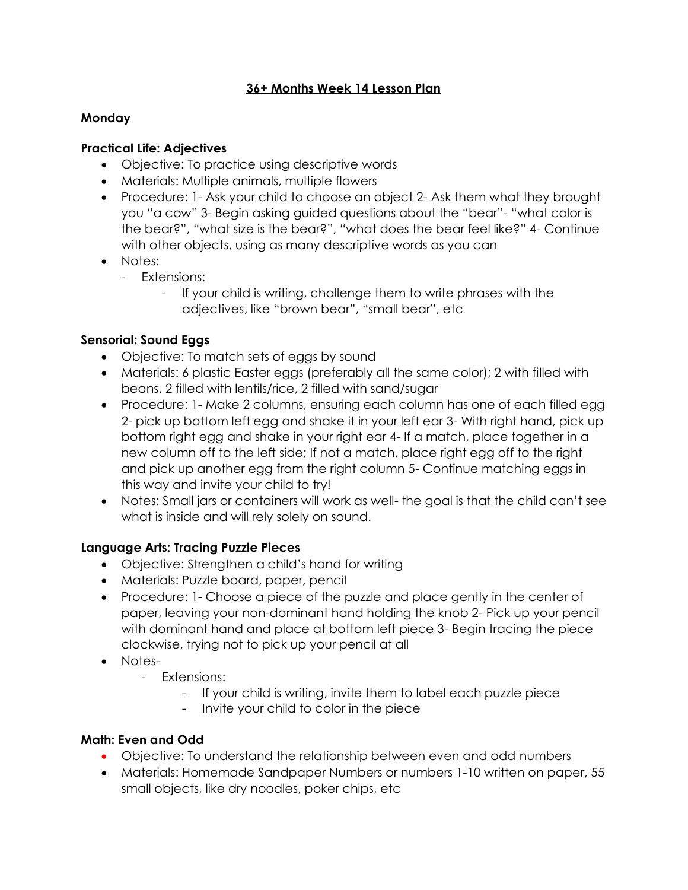## **36+ Months Week 14 Lesson Plan**

#### **Monday**

#### **Practical Life: Adjectives**

- Objective: To practice using descriptive words
- Materials: Multiple animals, multiple flowers
- Procedure: 1- Ask your child to choose an object 2- Ask them what they brought you "a cow" 3- Begin asking guided questions about the "bear"- "what color is the bear?", "what size is the bear?", "what does the bear feel like?" 4- Continue with other objects, using as many descriptive words as you can
- Notes:
	- Extensions:
		- If your child is writing, challenge them to write phrases with the adjectives, like "brown bear", "small bear", etc

#### **Sensorial: Sound Eggs**

- Objective: To match sets of eggs by sound
- Materials: 6 plastic Easter eggs (preferably all the same color); 2 with filled with beans, 2 filled with lentils/rice, 2 filled with sand/sugar
- Procedure: 1- Make 2 columns, ensuring each column has one of each filled egg 2- pick up bottom left egg and shake it in your left ear 3- With right hand, pick up bottom right egg and shake in your right ear 4- If a match, place together in a new column off to the left side; If not a match, place right egg off to the right and pick up another egg from the right column 5- Continue matching eggs in this way and invite your child to try!
- Notes: Small jars or containers will work as well- the goal is that the child can't see what is inside and will rely solely on sound.

#### **Language Arts: Tracing Puzzle Pieces**

- Objective: Strengthen a child's hand for writing
- Materials: Puzzle board, paper, pencil
- Procedure: 1- Choose a piece of the puzzle and place gently in the center of paper, leaving your non-dominant hand holding the knob 2- Pick up your pencil with dominant hand and place at bottom left piece 3- Begin tracing the piece clockwise, trying not to pick up your pencil at all
- Notes-
	- Extensions:
		- If your child is writing, invite them to label each puzzle piece
		- Invite your child to color in the piece

#### **Math: Even and Odd**

- Objective: To understand the relationship between even and odd numbers
- Materials: Homemade Sandpaper Numbers or numbers 1-10 written on paper, 55 small objects, like dry noodles, poker chips, etc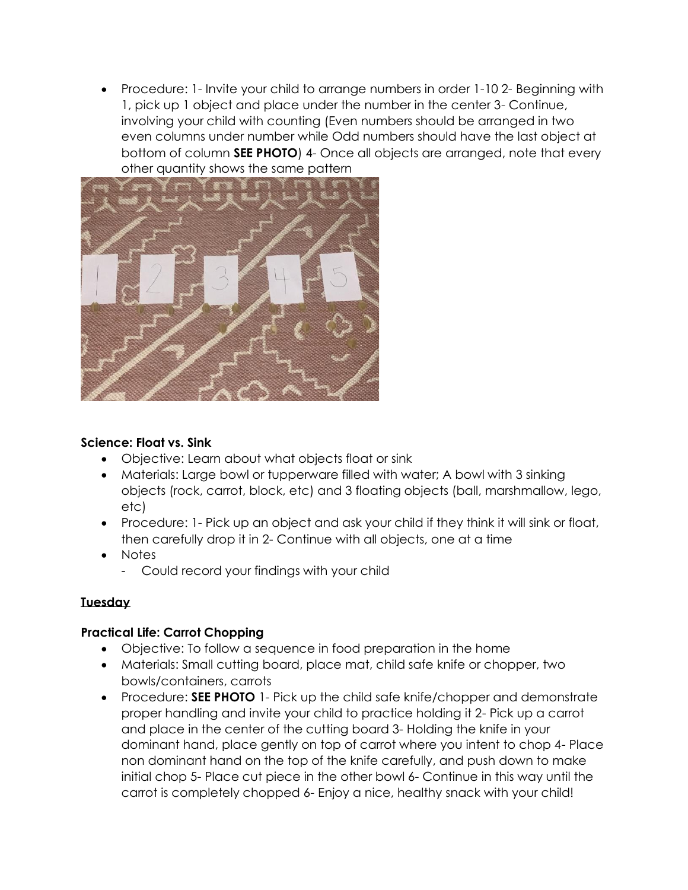• Procedure: 1- Invite your child to arrange numbers in order 1-10 2- Beginning with 1, pick up 1 object and place under the number in the center 3- Continue, involving your child with counting (Even numbers should be arranged in two even columns under number while Odd numbers should have the last object at bottom of column **SEE PHOTO**) 4- Once all objects are arranged, note that every other quantity shows the same pattern



## **Science: Float vs. Sink**

- Objective: Learn about what objects float or sink
- Materials: Large bowl or tupperware filled with water; A bowl with 3 sinking objects (rock, carrot, block, etc) and 3 floating objects (ball, marshmallow, lego, etc)
- Procedure: 1- Pick up an object and ask your child if they think it will sink or float, then carefully drop it in 2- Continue with all objects, one at a time
- Notes
	- Could record your findings with your child

## **Tuesday**

#### **Practical Life: Carrot Chopping**

- Objective: To follow a sequence in food preparation in the home
- Materials: Small cutting board, place mat, child safe knife or chopper, two bowls/containers, carrots
- Procedure: **SEE PHOTO** 1- Pick up the child safe knife/chopper and demonstrate proper handling and invite your child to practice holding it 2- Pick up a carrot and place in the center of the cutting board 3- Holding the knife in your dominant hand, place gently on top of carrot where you intent to chop 4- Place non dominant hand on the top of the knife carefully, and push down to make initial chop 5- Place cut piece in the other bowl 6- Continue in this way until the carrot is completely chopped 6- Enjoy a nice, healthy snack with your child!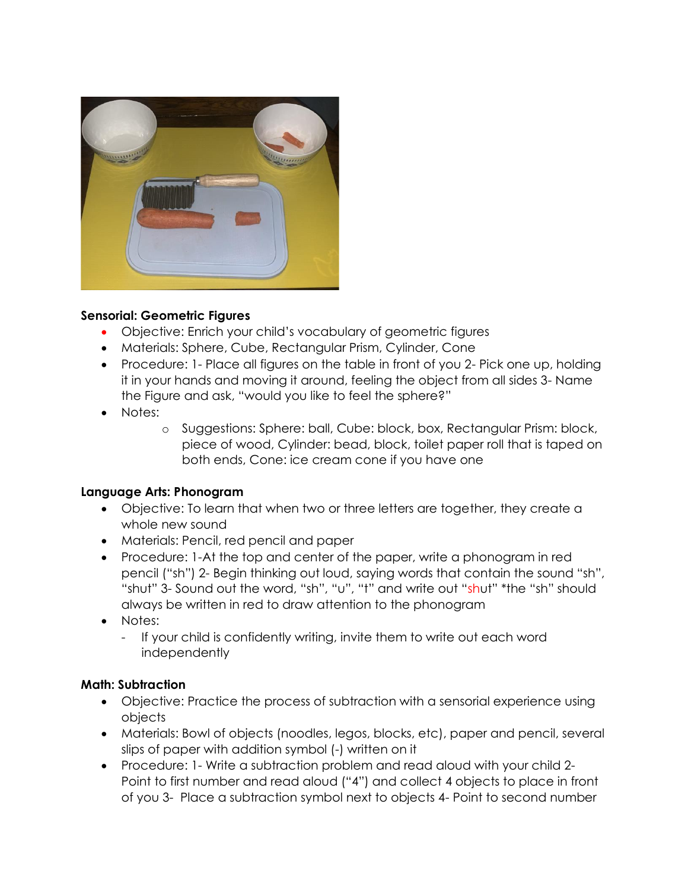

#### **Sensorial: Geometric Figures**

- Objective: Enrich your child's vocabulary of geometric figures
- Materials: Sphere, Cube, Rectangular Prism, Cylinder, Cone
- Procedure: 1- Place all figures on the table in front of you 2- Pick one up, holding it in your hands and moving it around, feeling the object from all sides 3- Name the Figure and ask, "would you like to feel the sphere?"
- Notes:
	- o Suggestions: Sphere: ball, Cube: block, box, Rectangular Prism: block, piece of wood, Cylinder: bead, block, toilet paper roll that is taped on both ends, Cone: ice cream cone if you have one

#### **Language Arts: Phonogram**

- Objective: To learn that when two or three letters are together, they create a whole new sound
- Materials: Pencil, red pencil and paper
- Procedure: 1-At the top and center of the paper, write a phonogram in red pencil ("sh") 2- Begin thinking out loud, saying words that contain the sound "sh", "shut" 3- Sound out the word, "sh", "u", "t" and write out "shut" \*the "sh" should always be written in red to draw attention to the phonogram
- Notes:
	- If your child is confidently writing, invite them to write out each word independently

#### **Math: Subtraction**

- Objective: Practice the process of subtraction with a sensorial experience using objects
- Materials: Bowl of objects (noodles, legos, blocks, etc), paper and pencil, several slips of paper with addition symbol (-) written on it
- Procedure: 1- Write a subtraction problem and read aloud with your child 2- Point to first number and read aloud ("4") and collect 4 objects to place in front of you 3- Place a subtraction symbol next to objects 4- Point to second number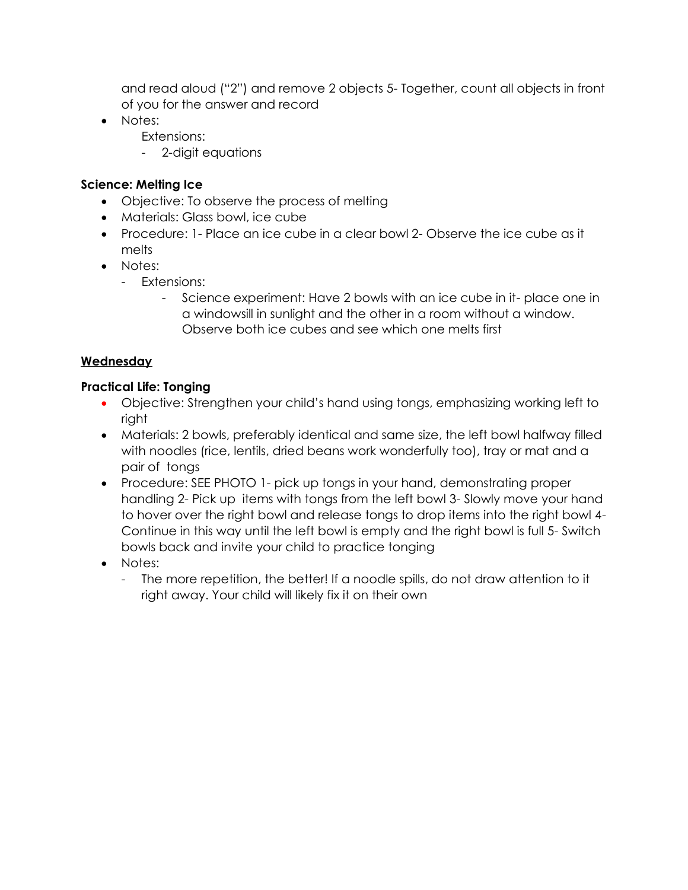and read aloud ("2") and remove 2 objects 5- Together, count all objects in front of you for the answer and record

- Notes:
	- Extensions:
	- 2-digit equations

# **Science: Melting Ice**

- Objective: To observe the process of melting
- Materials: Glass bowl, ice cube
- Procedure: 1- Place an ice cube in a clear bowl 2- Observe the ice cube as it melts
- Notes:
	- Extensions:
		- Science experiment: Have 2 bowls with an ice cube in it- place one in a windowsill in sunlight and the other in a room without a window. Observe both ice cubes and see which one melts first

# **Wednesday**

## **Practical Life: Tonging**

- Objective: Strengthen your child's hand using tongs, emphasizing working left to right
- Materials: 2 bowls, preferably identical and same size, the left bowl halfway filled with noodles (rice, lentils, dried beans work wonderfully too), tray or mat and a pair of tongs
- Procedure: SEE PHOTO 1- pick up tongs in your hand, demonstrating proper handling 2- Pick up items with tongs from the left bowl 3- Slowly move your hand to hover over the right bowl and release tongs to drop items into the right bowl 4- Continue in this way until the left bowl is empty and the right bowl is full 5- Switch bowls back and invite your child to practice tonging
- Notes:
	- The more repetition, the better! If a noodle spills, do not draw attention to it right away. Your child will likely fix it on their own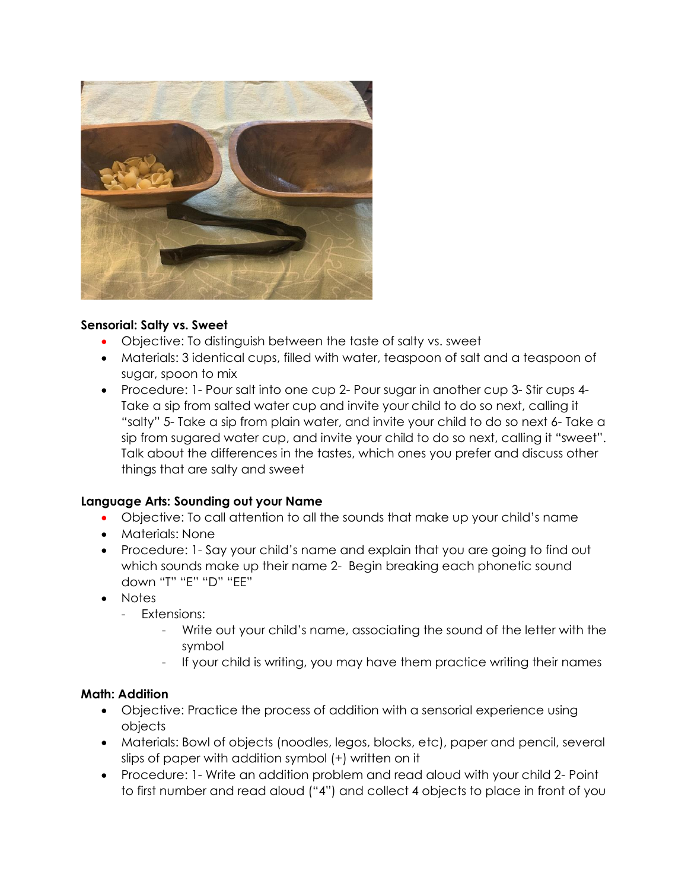

#### **Sensorial: Salty vs. Sweet**

- Objective: To distinguish between the taste of salty vs. sweet
- Materials: 3 identical cups, filled with water, teaspoon of salt and a teaspoon of sugar, spoon to mix
- Procedure: 1- Pour salt into one cup 2- Pour sugar in another cup 3- Stir cups 4- Take a sip from salted water cup and invite your child to do so next, calling it "salty" 5- Take a sip from plain water, and invite your child to do so next 6- Take a sip from sugared water cup, and invite your child to do so next, calling it "sweet". Talk about the differences in the tastes, which ones you prefer and discuss other things that are salty and sweet

#### **Language Arts: Sounding out your Name**

- Objective: To call attention to all the sounds that make up your child's name
- Materials: None
- Procedure: 1- Say your child's name and explain that you are going to find out which sounds make up their name 2- Begin breaking each phonetic sound down "T" "E" "D" "EE"
- Notes
	- Extensions:
		- Write out your child's name, associating the sound of the letter with the symbol
		- If your child is writing, you may have them practice writing their names

#### **Math: Addition**

- Objective: Practice the process of addition with a sensorial experience using objects
- Materials: Bowl of objects (noodles, legos, blocks, etc), paper and pencil, several slips of paper with addition symbol (+) written on it
- Procedure: 1- Write an addition problem and read aloud with your child 2- Point to first number and read aloud ("4") and collect 4 objects to place in front of you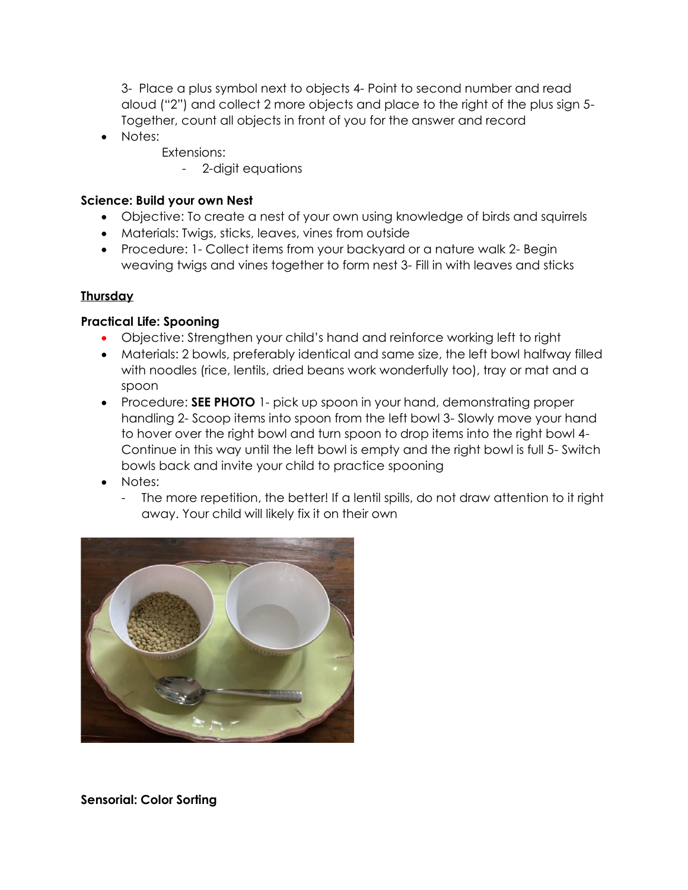3- Place a plus symbol next to objects 4- Point to second number and read aloud ("2") and collect 2 more objects and place to the right of the plus sign 5- Together, count all objects in front of you for the answer and record

- Notes:
	- Extensions:
		- 2-digit equations

#### **Science: Build your own Nest**

- Objective: To create a nest of your own using knowledge of birds and squirrels
- Materials: Twigs, sticks, leaves, vines from outside
- Procedure: 1- Collect items from your backyard or a nature walk 2- Begin weaving twigs and vines together to form nest 3- Fill in with leaves and sticks

#### **Thursday**

## **Practical Life: Spooning**

- Objective: Strengthen your child's hand and reinforce working left to right
- Materials: 2 bowls, preferably identical and same size, the left bowl halfway filled with noodles (rice, lentils, dried beans work wonderfully too), tray or mat and a spoon
- Procedure: **SEE PHOTO** 1- pick up spoon in your hand, demonstrating proper handling 2- Scoop items into spoon from the left bowl 3- Slowly move your hand to hover over the right bowl and turn spoon to drop items into the right bowl 4- Continue in this way until the left bowl is empty and the right bowl is full 5- Switch bowls back and invite your child to practice spooning
- Notes:
	- The more repetition, the better! If a lentil spills, do not draw attention to it right away. Your child will likely fix it on their own



**Sensorial: Color Sorting**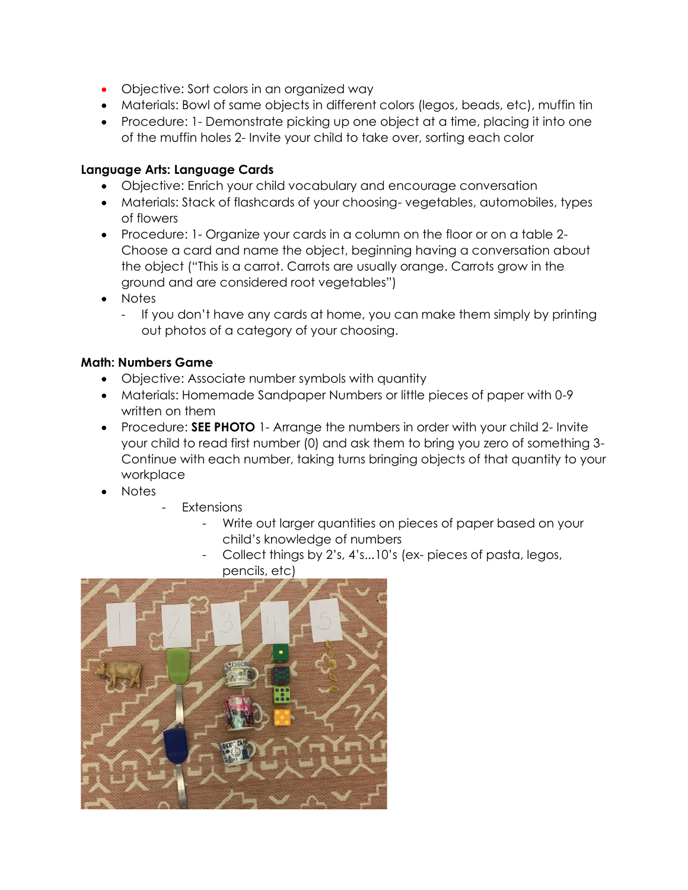- Objective: Sort colors in an organized way
- Materials: Bowl of same objects in different colors (legos, beads, etc), muffin tin
- Procedure: 1- Demonstrate picking up one object at a time, placing it into one of the muffin holes 2- Invite your child to take over, sorting each color

#### **Language Arts: Language Cards**

- Objective: Enrich your child vocabulary and encourage conversation
- Materials: Stack of flashcards of your choosing- vegetables, automobiles, types of flowers
- Procedure: 1- Organize your cards in a column on the floor or on a table 2- Choose a card and name the object, beginning having a conversation about the object ("This is a carrot. Carrots are usually orange. Carrots grow in the ground and are considered root vegetables")
- Notes
	- If you don't have any cards at home, you can make them simply by printing out photos of a category of your choosing.

#### **Math: Numbers Game**

- Objective: Associate number symbols with quantity
- Materials: Homemade Sandpaper Numbers or little pieces of paper with 0-9 written on them
- Procedure: **SEE PHOTO** 1- Arrange the numbers in order with your child 2- Invite your child to read first number (0) and ask them to bring you zero of something 3- Continue with each number, taking turns bringing objects of that quantity to your workplace
- Notes
- **Extensions** 
	- Write out larger quantities on pieces of paper based on your child's knowledge of numbers
	- Collect things by 2's, 4's...10's (ex-pieces of pasta, legos, pencils, etc)

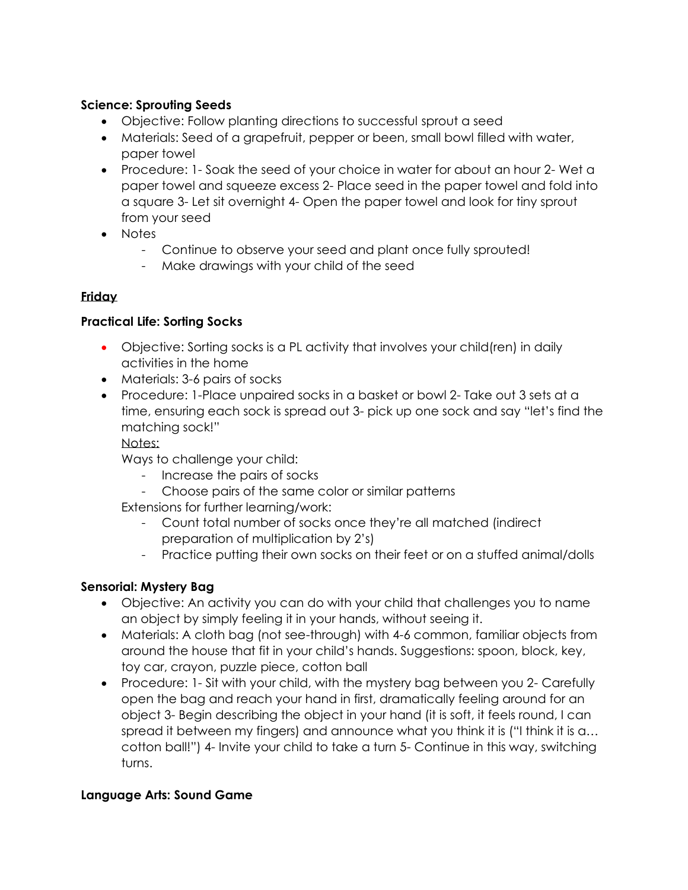### **Science: Sprouting Seeds**

- Objective: Follow planting directions to successful sprout a seed
- Materials: Seed of a grapefruit, pepper or been, small bowl filled with water, paper towel
- Procedure: 1- Soak the seed of your choice in water for about an hour 2- Wet a paper towel and squeeze excess 2- Place seed in the paper towel and fold into a square 3- Let sit overnight 4- Open the paper towel and look for tiny sprout from your seed
- Notes
	- Continue to observe your seed and plant once fully sprouted!
	- Make drawings with your child of the seed

## **Friday**

## **Practical Life: Sorting Socks**

- Objective: Sorting socks is a PL activity that involves your child(ren) in daily activities in the home
- Materials: 3-6 pairs of socks
- Procedure: 1-Place unpaired socks in a basket or bowl 2- Take out 3 sets at a time, ensuring each sock is spread out 3- pick up one sock and say "let's find the matching sock!"

#### Notes:

Ways to challenge your child:

- Increase the pairs of socks
- Choose pairs of the same color or similar patterns

Extensions for further learning/work:

- Count total number of socks once they're all matched (indirect preparation of multiplication by 2's)
- Practice putting their own socks on their feet or on a stuffed animal/dolls

## **Sensorial: Mystery Bag**

- Objective: An activity you can do with your child that challenges you to name an object by simply feeling it in your hands, without seeing it.
- Materials: A cloth bag (not see-through) with 4-6 common, familiar objects from around the house that fit in your child's hands. Suggestions: spoon, block, key, toy car, crayon, puzzle piece, cotton ball
- Procedure: 1- Sit with your child, with the mystery bag between you 2- Carefully open the bag and reach your hand in first, dramatically feeling around for an object 3- Begin describing the object in your hand (it is soft, it feels round, I can spread it between my fingers) and announce what you think it is ("I think it is a… cotton ball!") 4- Invite your child to take a turn 5- Continue in this way, switching turns.

#### **Language Arts: Sound Game**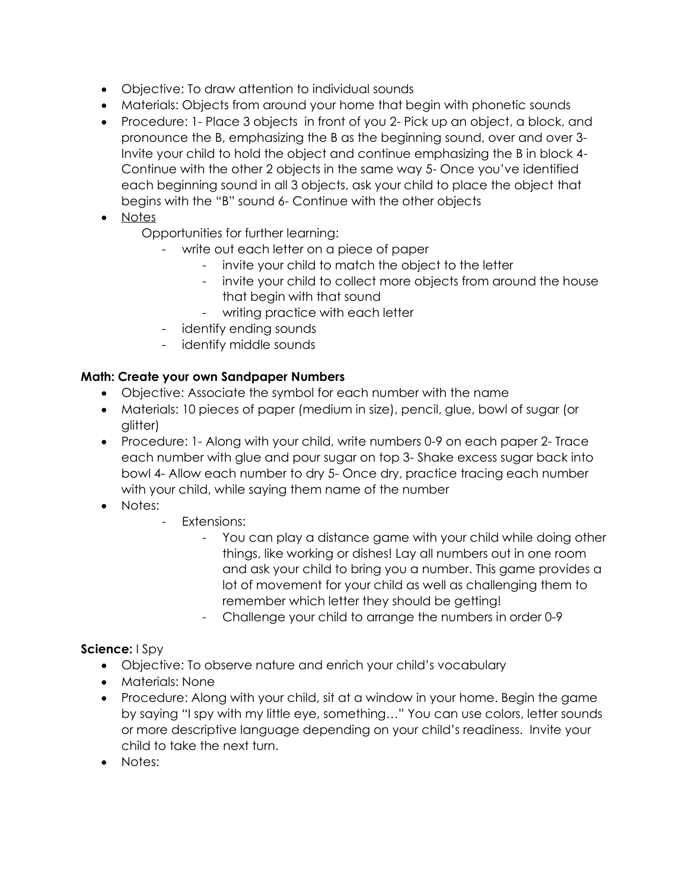- Objective: To draw attention to individual sounds
- Materials: Objects from around your home that begin with phonetic sounds
- Procedure: 1- Place 3 objects in front of you 2- Pick up an object, a block, and pronounce the B, emphasizing the B as the beginning sound, over and over 3- Invite your child to hold the object and continue emphasizing the B in block 4- Continue with the other 2 objects in the same way 5- Once you've identified each beginning sound in all 3 objects, ask your child to place the object that begins with the "B" sound 6- Continue with the other objects
- Notes

Opportunities for further learning:

- write out each letter on a piece of paper
	- invite your child to match the object to the letter
	- invite your child to collect more objects from around the house that begin with that sound
	- writing practice with each letter
- identify ending sounds
- identify middle sounds

#### **Math: Create your own Sandpaper Numbers**

- Objective: Associate the symbol for each number with the name
- Materials: 10 pieces of paper (medium in size), pencil, glue, bowl of sugar (or glitter)
- Procedure: 1- Along with your child, write numbers 0-9 on each paper 2- Trace each number with glue and pour sugar on top 3- Shake excess sugar back into bowl 4- Allow each number to dry 5- Once dry, practice tracing each number with your child, while saying them name of the number
- Notes:
	- Extensions:
		- You can play a distance game with your child while doing other things, like working or dishes! Lay all numbers out in one room and ask your child to bring you a number. This game provides a lot of movement for your child as well as challenging them to remember which letter they should be getting!
		- Challenge your child to arrange the numbers in order 0-9

#### **Science:** I Spy

- Objective: To observe nature and enrich your child's vocabulary
- Materials: None
- Procedure: Along with your child, sit at a window in your home. Begin the game by saying "I spy with my little eye, something…" You can use colors, letter sounds or more descriptive language depending on your child's readiness. Invite your child to take the next turn.
- Notes: